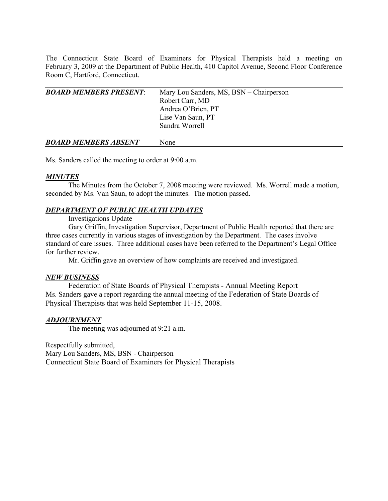The Connecticut State Board of Examiners for Physical Therapists held a meeting on February 3, 2009 at the Department of Public Health, 410 Capitol Avenue, Second Floor Conference Room C, Hartford, Connecticut.

| <b>BOARD MEMBERS PRESENT:</b> | Mary Lou Sanders, MS, BSN – Chairperson |
|-------------------------------|-----------------------------------------|
|                               | Robert Carr, MD                         |
|                               | Andrea O'Brien, PT                      |
|                               | Lise Van Saun, PT                       |
|                               | Sandra Worrell                          |
| <b>BOARD MEMBERS ABSENT</b>   | None                                    |

Ms. Sanders called the meeting to order at 9:00 a.m.

### *MINUTES*

 The Minutes from the October 7, 2008 meeting were reviewed. Ms. Worrell made a motion, seconded by Ms. Van Saun, to adopt the minutes. The motion passed.

## *DEPARTMENT OF PUBLIC HEALTH UPDATES*

## Investigations Update

 Gary Griffin, Investigation Supervisor, Department of Public Health reported that there are three cases currently in various stages of investigation by the Department. The cases involve standard of care issues. Three additional cases have been referred to the Department's Legal Office for further review

Mr. Griffin gave an overview of how complaints are received and investigated.

### *NEW BUSINESS*

Federation of State Boards of Physical Therapists - Annual Meeting Report Ms. Sanders gave a report regarding the annual meeting of the Federation of State Boards of Physical Therapists that was held September 11-15, 2008.

### *ADJOURNMENT*

The meeting was adjourned at 9:21 a.m.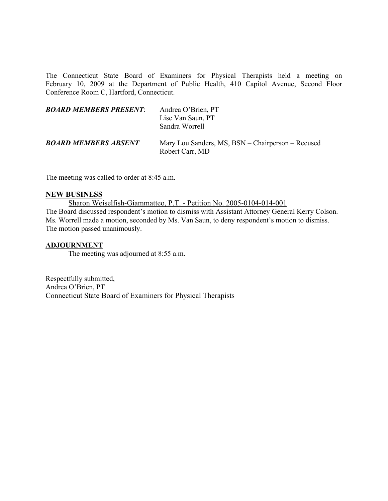The Connecticut State Board of Examiners for Physical Therapists held a meeting on February 10, 2009 at the Department of Public Health, 410 Capitol Avenue, Second Floor Conference Room C, Hartford, Connecticut.

| <b>BOARD MEMBERS PRESENT:</b> | Andrea O'Brien, PT<br>Lise Van Saun, PT<br>Sandra Worrell            |
|-------------------------------|----------------------------------------------------------------------|
| <b>BOARD MEMBERS ABSENT</b>   | Mary Lou Sanders, MS, BSN – Chairperson – Recused<br>Robert Carr, MD |

The meeting was called to order at 8:45 a.m.

#### **NEW BUSINESS**

Sharon Weiselfish-Giammatteo, P.T. - Petition No. 2005-0104-014-001 The Board discussed respondent's motion to dismiss with Assistant Attorney General Kerry Colson. Ms. Worrell made a motion, seconded by Ms. Van Saun, to deny respondent's motion to dismiss. The motion passed unanimously.

### **ADJOURNMENT**

The meeting was adjourned at 8:55 a.m.

Respectfully submitted, Andrea O'Brien, PT Connecticut State Board of Examiners for Physical Therapists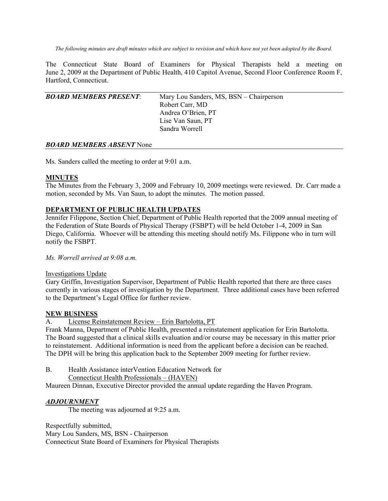*The following minutes are draft minutes which are subject to revision and which have not yet been adopted by the Board.* 

The Connecticut State Board of Examiners for Physical Therapists held a meeting on June 2, 2009 at the Department of Public Health, 410 Capitol Avenue, Second Floor Conference Room F, Hartford, Connecticut.

| <b>BOARD MEMBERS PRESENT:</b> | Mary Lou Sanders, MS, BSN – Chairperson |
|-------------------------------|-----------------------------------------|
|                               | Robert Carr, MD                         |
|                               | Andrea O'Brien, PT                      |
|                               | Lise Van Saun, PT                       |
|                               | Sandra Worrell                          |
|                               |                                         |

### *BOARD MEMBERS ABSENT* None

Ms. Sanders called the meeting to order at 9:01 a.m.

### **MINUTES**

The Minutes from the February 3, 2009 and February 10, 2009 meetings were reviewed. Dr. Carr made a motion, seconded by Ms. Van Saun, to adopt the minutes. The motion passed.

## **DEPARTMENT OF PUBLIC HEALTH UPDATES**

Jennifer Filippone, Section Chief, Department of Public Health reported that the 2009 annual meeting of the Federation of State Boards of Physical Therapy (FSBPT) will be held October 1-4, 2009 in San Diego, California. Whoever will be attending this meeting should notify Ms. Filippone who in turn will notify the FSBPT.

## *Ms. Worrell arrived at 9:08 a.m.*

### Investigations Update

Gary Griffin, Investigation Supervisor, Department of Public Health reported that there are three cases currently in various stages of investigation by the Department. Three additional cases have been referred to the Department's Legal Office for further review.

### **NEW BUSINESS**

A. License Reinstatement Review – Erin Bartolotta, PT

Frank Manna, Department of Public Health, presented a reinstatement application for Erin Bartolotta. The Board suggested that a clinical skills evaluation and/or course may be necessary in this matter prior to reinstatement. Additional information is need from the applicant before a decision can be reached. The DPH will be bring this application back to the September 2009 meeting for further review.

B. Health Assistance interVention Education Network for

Connecticut Health Professionals – (HAVEN)

Maureen Dinnan, Executive Director provided the annual update regarding the Haven Program.

### *ADJOURNMENT*

The meeting was adjourned at 9:25 a.m.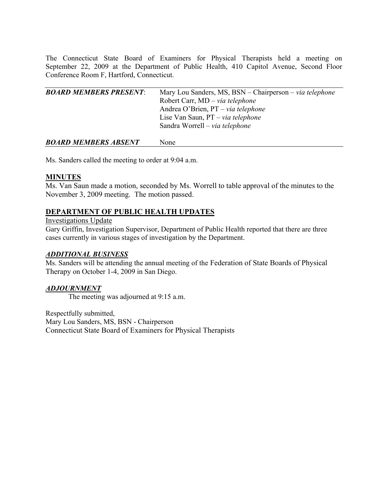The Connecticut State Board of Examiners for Physical Therapists held a meeting on September 22, 2009 at the Department of Public Health, 410 Capitol Avenue, Second Floor Conference Room F, Hartford, Connecticut.

| <b>BOARD MEMBERS PRESENT:</b> | Mary Lou Sanders, MS, BSN – Chairperson – via telephone |
|-------------------------------|---------------------------------------------------------|
|                               | Robert Carr, $MD - via$ telephone                       |
|                               | Andrea O'Brien, $PT - via$ telephone                    |
|                               | Lise Van Saun, $PT - via$ telephone                     |
|                               | Sandra Worrell – via telephone                          |
|                               |                                                         |
|                               |                                                         |

*BOARD MEMBERS ABSENT* None

Ms. Sanders called the meeting to order at 9:04 a.m.

# **MINUTES**

Ms. Van Saun made a motion, seconded by Ms. Worrell to table approval of the minutes to the November 3, 2009 meeting. The motion passed.

# **DEPARTMENT OF PUBLIC HEALTH UPDATES**

Investigations Update

Gary Griffin, Investigation Supervisor, Department of Public Health reported that there are three cases currently in various stages of investigation by the Department.

# *ADDITIONAL BUSINESS*

Ms. Sanders will be attending the annual meeting of the Federation of State Boards of Physical Therapy on October 1-4, 2009 in San Diego.

# *ADJOURNMENT*

The meeting was adjourned at 9:15 a.m.